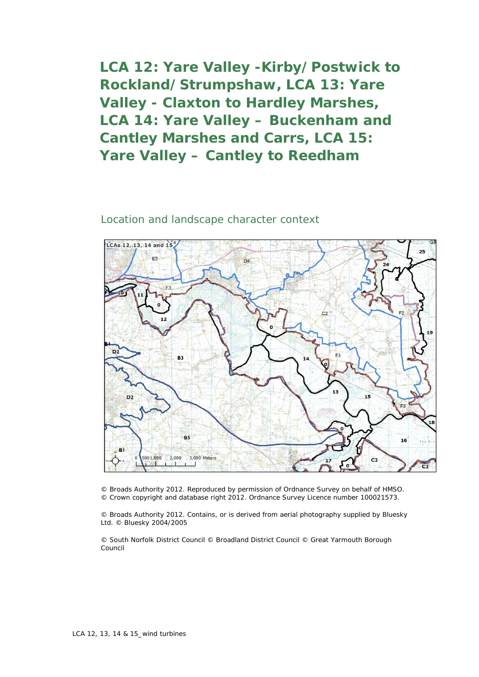**LCA 12: Yare Valley -Kirby/Postwick to Rockland/Strumpshaw, LCA 13: Yare Valley - Claxton to Hardley Marshes, LCA 14: Yare Valley – Buckenham and Cantley Marshes and Carrs, LCA 15: Yare Valley – Cantley to Reedham**

## Location and landscape character context



© Broads Authority 2012. Reproduced by permission of Ordnance Survey on behalf of HMSO. © Crown copyright and database right 2012. Ordnance Survey Licence number 100021573.

© Broads Authority 2012. Contains, or is derived from aerial photography supplied by Bluesky Ltd. © Bluesky 2004/2005

© South Norfolk District Council © Broadland District Council © Great Yarmouth Borough Council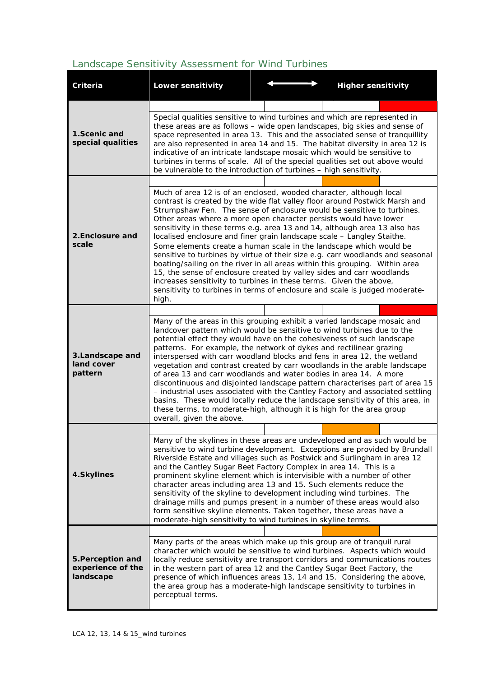## *Landscape Sensitivity Assessment for Wind Turbines*

| <b>Criteria</b>                                     | Lower sensitivity                                                                                                                                                                                                                                                                                                                                                                                                                                                                                                                                                                                                                                                                                                                                                                                                                                                                        |  | <b>Higher sensitivity</b>                                                                                                                                                                                                                    |  |  |  |
|-----------------------------------------------------|------------------------------------------------------------------------------------------------------------------------------------------------------------------------------------------------------------------------------------------------------------------------------------------------------------------------------------------------------------------------------------------------------------------------------------------------------------------------------------------------------------------------------------------------------------------------------------------------------------------------------------------------------------------------------------------------------------------------------------------------------------------------------------------------------------------------------------------------------------------------------------------|--|----------------------------------------------------------------------------------------------------------------------------------------------------------------------------------------------------------------------------------------------|--|--|--|
|                                                     |                                                                                                                                                                                                                                                                                                                                                                                                                                                                                                                                                                                                                                                                                                                                                                                                                                                                                          |  |                                                                                                                                                                                                                                              |  |  |  |
| 1.Scenic and<br>special qualities                   | Special qualities sensitive to wind turbines and which are represented in<br>these areas are as follows - wide open landscapes, big skies and sense of<br>space represented in area 13. This and the associated sense of tranquillity<br>are also represented in area 14 and 15. The habitat diversity in area 12 is<br>indicative of an intricate landscape mosaic which would be sensitive to<br>turbines in terms of scale. All of the special qualities set out above would<br>be vulnerable to the introduction of turbines - high sensitivity.                                                                                                                                                                                                                                                                                                                                     |  |                                                                                                                                                                                                                                              |  |  |  |
|                                                     |                                                                                                                                                                                                                                                                                                                                                                                                                                                                                                                                                                                                                                                                                                                                                                                                                                                                                          |  |                                                                                                                                                                                                                                              |  |  |  |
| 2. Enclosure and<br>scale                           | Much of area 12 is of an enclosed, wooded character, although local<br>Strumpshaw Fen. The sense of enclosure would be sensitive to turbines.<br>Other areas where a more open character persists would have lower<br>sensitivity in these terms e.g. area 13 and 14, although area 13 also has<br>localised enclosure and finer grain landscape scale - Langley Staithe.<br>Some elements create a human scale in the landscape which would be<br>boating/sailing on the river in all areas within this grouping. Within area<br>15, the sense of enclosure created by valley sides and carr woodlands<br>increases sensitivity to turbines in these terms. Given the above,<br>high.                                                                                                                                                                                                   |  | contrast is created by the wide flat valley floor around Postwick Marsh and<br>sensitive to turbines by virtue of their size e.g. carr woodlands and seasonal<br>sensitivity to turbines in terms of enclosure and scale is judged moderate- |  |  |  |
|                                                     |                                                                                                                                                                                                                                                                                                                                                                                                                                                                                                                                                                                                                                                                                                                                                                                                                                                                                          |  |                                                                                                                                                                                                                                              |  |  |  |
| 3. Landscape and<br>land cover<br>pattern           | Many of the areas in this grouping exhibit a varied landscape mosaic and<br>landcover pattern which would be sensitive to wind turbines due to the<br>potential effect they would have on the cohesiveness of such landscape<br>patterns. For example, the network of dykes and rectilinear grazing<br>interspersed with carr woodland blocks and fens in area 12, the wetland<br>vegetation and contrast created by carr woodlands in the arable landscape<br>of area 13 and carr woodlands and water bodies in area 14. A more<br>discontinuous and disjointed landscape pattern characterises part of area 15<br>- industrial uses associated with the Cantley Factory and associated settling<br>basins. These would locally reduce the landscape sensitivity of this area, in<br>these terms, to moderate-high, although it is high for the area group<br>overall, given the above. |  |                                                                                                                                                                                                                                              |  |  |  |
|                                                     |                                                                                                                                                                                                                                                                                                                                                                                                                                                                                                                                                                                                                                                                                                                                                                                                                                                                                          |  |                                                                                                                                                                                                                                              |  |  |  |
| 4.Skylines                                          | Many of the skylines in these areas are undeveloped and as such would be<br>sensitive to wind turbine development. Exceptions are provided by Brundall<br>Riverside Estate and villages such as Postwick and Surlingham in area 12<br>and the Cantley Sugar Beet Factory Complex in area 14. This is a<br>prominent skyline element which is intervisible with a number of other<br>character areas including area 13 and 15. Such elements reduce the<br>sensitivity of the skyline to development including wind turbines. The<br>drainage mills and pumps present in a number of these areas would also<br>form sensitive skyline elements. Taken together, these areas have a<br>moderate-high sensitivity to wind turbines in skyline terms.                                                                                                                                        |  |                                                                                                                                                                                                                                              |  |  |  |
| 5. Perception and<br>experience of the<br>landscape |                                                                                                                                                                                                                                                                                                                                                                                                                                                                                                                                                                                                                                                                                                                                                                                                                                                                                          |  |                                                                                                                                                                                                                                              |  |  |  |
|                                                     | Many parts of the areas which make up this group are of tranquil rural<br>in the western part of area 12 and the Cantley Sugar Beet Factory, the<br>the area group has a moderate-high landscape sensitivity to turbines in<br>perceptual terms.                                                                                                                                                                                                                                                                                                                                                                                                                                                                                                                                                                                                                                         |  | character which would be sensitive to wind turbines. Aspects which would<br>locally reduce sensitivity are transport corridors and communications routes<br>presence of which influences areas 13, 14 and 15. Considering the above,         |  |  |  |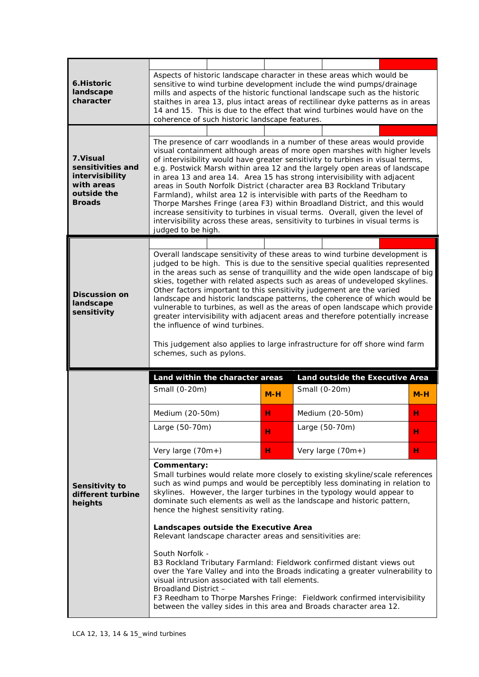| 6. Historic<br>landscape<br>character                                                          | Aspects of historic landscape character in these areas which would be<br>sensitive to wind turbine development include the wind pumps/drainage<br>mills and aspects of the historic functional landscape such as the historic<br>staithes in area 13, plus intact areas of rectilinear dyke patterns as in areas<br>14 and 15. This is due to the effect that wind turbines would have on the<br>coherence of such historic landscape features.                                                                                                                                                                                                                                                                                                                                                                                                                                          |                                 |       |  |                                                  |  |       |
|------------------------------------------------------------------------------------------------|------------------------------------------------------------------------------------------------------------------------------------------------------------------------------------------------------------------------------------------------------------------------------------------------------------------------------------------------------------------------------------------------------------------------------------------------------------------------------------------------------------------------------------------------------------------------------------------------------------------------------------------------------------------------------------------------------------------------------------------------------------------------------------------------------------------------------------------------------------------------------------------|---------------------------------|-------|--|--------------------------------------------------|--|-------|
|                                                                                                |                                                                                                                                                                                                                                                                                                                                                                                                                                                                                                                                                                                                                                                                                                                                                                                                                                                                                          |                                 |       |  |                                                  |  |       |
| 7.Visual<br>sensitivities and<br>intervisibility<br>with areas<br>outside the<br><b>Broads</b> | The presence of carr woodlands in a number of these areas would provide<br>visual containment although areas of more open marshes with higher levels<br>of intervisibility would have greater sensitivity to turbines in visual terms,<br>e.g. Postwick Marsh within area 12 and the largely open areas of landscape<br>in area 13 and area 14. Area 15 has strong intervisibility with adjacent<br>areas in South Norfolk District (character area B3 Rockland Tributary<br>Farmland), whilst area 12 is intervisible with parts of the Reedham to<br>Thorpe Marshes Fringe (area F3) within Broadland District, and this would<br>increase sensitivity to turbines in visual terms. Overall, given the level of<br>intervisibility across these areas, sensitivity to turbines in visual terms is<br>judged to be high.                                                                |                                 |       |  |                                                  |  |       |
|                                                                                                |                                                                                                                                                                                                                                                                                                                                                                                                                                                                                                                                                                                                                                                                                                                                                                                                                                                                                          |                                 |       |  |                                                  |  |       |
| <b>Discussion on</b><br>landscape<br>sensitivity                                               | Overall landscape sensitivity of these areas to wind turbine development is<br>judged to be high. This is due to the sensitive special qualities represented<br>in the areas such as sense of tranquillity and the wide open landscape of big<br>skies, together with related aspects such as areas of undeveloped skylines.<br>Other factors important to this sensitivity judgement are the varied<br>landscape and historic landscape patterns, the coherence of which would be<br>vulnerable to turbines, as well as the areas of open landscape which provide<br>greater intervisibility with adjacent areas and therefore potentially increase<br>the influence of wind turbines.<br>This judgement also applies to large infrastructure for off shore wind farm<br>schemes, such as pylons.                                                                                       |                                 |       |  |                                                  |  |       |
|                                                                                                | Small (0-20m)                                                                                                                                                                                                                                                                                                                                                                                                                                                                                                                                                                                                                                                                                                                                                                                                                                                                            | Land within the character areas | $M-H$ |  | Land outside the Executive Area<br>Small (0-20m) |  | $M-H$ |
|                                                                                                | Medium (20-50m)                                                                                                                                                                                                                                                                                                                                                                                                                                                                                                                                                                                                                                                                                                                                                                                                                                                                          |                                 | н     |  | Medium (20-50m)                                  |  | н     |
| Sensitivity to<br>different turbine<br>heights                                                 | Large (50-70m)                                                                                                                                                                                                                                                                                                                                                                                                                                                                                                                                                                                                                                                                                                                                                                                                                                                                           |                                 | н     |  | Large (50-70m)                                   |  | н     |
|                                                                                                | Very large $(70m+)$                                                                                                                                                                                                                                                                                                                                                                                                                                                                                                                                                                                                                                                                                                                                                                                                                                                                      |                                 | н     |  | Very large (70m+)                                |  | н     |
|                                                                                                | Commentary:<br>Small turbines would relate more closely to existing skyline/scale references<br>such as wind pumps and would be perceptibly less dominating in relation to<br>skylines. However, the larger turbines in the typology would appear to<br>dominate such elements as well as the landscape and historic pattern,<br>hence the highest sensitivity rating.<br>Landscapes outside the Executive Area<br>Relevant landscape character areas and sensitivities are:<br>South Norfolk -<br>B3 Rockland Tributary Farmland: Fieldwork confirmed distant views out<br>over the Yare Valley and into the Broads indicating a greater vulnerability to<br>visual intrusion associated with tall elements.<br>Broadland District -<br>F3 Reedham to Thorpe Marshes Fringe: Fieldwork confirmed intervisibility<br>between the valley sides in this area and Broads character area 12. |                                 |       |  |                                                  |  |       |